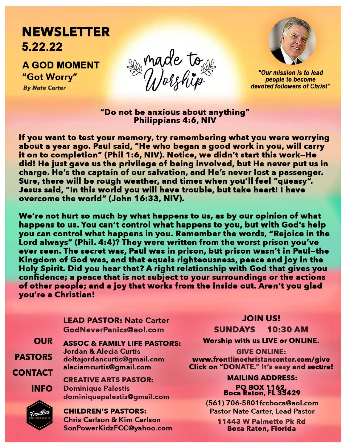## **NEWSLETTER**  5.22.22

AGOD MOMENT *<sup>11</sup>*Got Worry" By *Nate Carter* 





"Our mission is *to* lead people *to* become devoted followers of Christ"

"Do not be anxious about anything" Philippians 4:6. NIV

If you want to test your memory, try remembering what you were worrying about a year ago. Paul said, "He who began a good work in you, will carry it on to completion" (Phil 1:6, NIV). Notice, we didn't start this work-He did! He just gave us the privilege of being involved, but He never put us in charge. He's the captain of our salvation, and He's never lost a passenger. Sure, there will be rough weather, and times when you'll feel "queasy". Jesus said, "In this world you will have trouble, but take heart! I have overcome the world" (John 16:33, NIV).

We're not hurt so much by what happens to us, as by our opinion of what happens to us. You can't control what happens to you, but with God's help you can control what happens in you. Remember the words, "Rejoice in the Lord always" (Phil. 4:4)? They were written from the worst prison you've ever seen. The secret was, Paul was in prison, but prison wasn't in Paul-the Kingdom of God was, and that equals righteousness, peace and joy in the Holy Spirit. Did you hear that? A right relationship with God that gives you confidence; a peace that is not subject to your surroundings or the actions of other people; and a joy that works from the inside out. Aren't you glad you're a Christian!

> LEAD PASTOR: Nate Carter GodNeverPanics@aol.com

OUR

PASTORS

**CONTACT** 

ASSOC & FAMILY LIFE PASTORS: Jordan & Alecia Curtis delta jorda ncu rtis@g ma ii.com aleciamcurtis@gmail.com

CREATIVE ARTS PASTOR: Dominique Palestis dominiquepalestis@gmail.com

Frontline

INFO

CHILDREN'S PASTORS: Chris Carlson & Kim Carlson SonPowerKidzFCC@yahoo.com

## JOIN US!

SUNDAYS 10:30 AM

Worship with us LIVE or ONLINE.

GIVE ONLINE: www.frontlinechristancenter.com/give Click on "DONATE." It's easy and secure!

> MAILING ADDRESS: PO BOX 1162 Boca Raton, FL 33429

(561) 706-5801 fccboca@aol.com Pastor Nate Carter, Lead Pastor

> 11443 W Palmetto Pk Rd Boca Raton, Florida